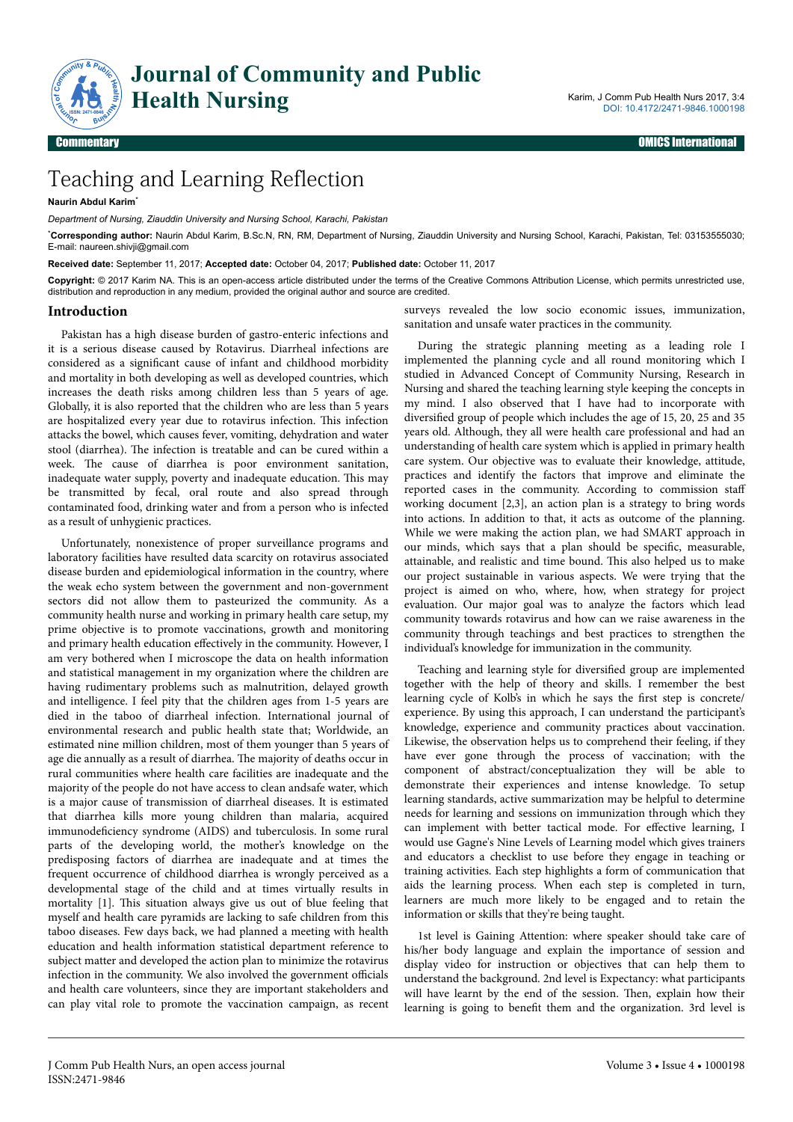

# Teaching and Learning Reflection

### **Naurin Abdul Karim**\*

*Department of Nursing, Ziauddin University and Nursing School, Karachi, Pakistan*

\***Corresponding author:** Naurin Abdul Karim, B.Sc.N, RN, RM, Department of Nursing, Ziauddin University and Nursing School, Karachi, Pakistan, Tel: 03153555030; E-mail: naureen.shivji@gmail.com

**Received date:** September 11, 2017; **Accepted date:** October 04, 2017; **Published date:** October 11, 2017

**Copyright:** © 2017 Karim NA. This is an open-access article distributed under the terms of the Creative Commons Attribution License, which permits unrestricted use, distribution and reproduction in any medium, provided the original author and source are credited.

#### **Introduction**

Pakistan has a high disease burden of gastro-enteric infections and it is a serious disease caused by Rotavirus. Diarrheal infections are considered as a significant cause of infant and childhood morbidity and mortality in both developing as well as developed countries, which increases the death risks among children less than 5 years of age. Globally, it is also reported that the children who are less than 5 years are hospitalized every year due to rotavirus infection. This infection attacks the bowel, which causes fever, vomiting, dehydration and water stool (diarrhea). Нe infection is treatable and can be cured within a week. The cause of diarrhea is poor environment sanitation, inadequate water supply, poverty and inadequate education. This may be transmitted by fecal, oral route and also spread through contaminated food, drinking water and from a person who is infected as a result of unhygienic practices.

Unfortunately, nonexistence of proper surveillance programs and laboratory facilities have resulted data scarcity on rotavirus associated disease burden and epidemiological information in the country, where the weak echo system between the government and non-government sectors did not allow them to pasteurized the community. As a community health nurse and working in primary health care setup, my prime objective is to promote vaccinations, growth and monitoring and primary health education effectively in the community. However, I am very bothered when I microscope the data on health information and statistical management in my organization where the children are having rudimentary problems such as malnutrition, delayed growth and intelligence. I feel pity that the children ages from 1-5 years are died in the taboo of diarrheal infection. International journal of environmental research and public health state that; Worldwide, an estimated nine million children, most of them younger than 5 years of age die annually as a result of diarrhea. Нe majority of deaths occur in rural communities where health care facilities are inadequate and the majority of the people do not have access to clean andsafe water, which is a major cause of transmission of diarrheal diseases. It is estimated that diarrhea kills more young children than malaria, acquired immunodeficiency syndrome (AIDS) and tuberculosis. In some rural parts of the developing world, the mother's knowledge on the predisposing factors of diarrhea are inadequate and at times the frequent occurrence of childhood diarrhea is wrongly perceived as a developmental stage of the child and at times virtually results in mortality [1]. This situation always give us out of blue feeling that myself and health care pyramids are lacking to safe children from this taboo diseases. Few days back, we had planned a meeting with health education and health information statistical department reference to subject matter and developed the action plan to minimize the rotavirus infection in the community. We also involved the government officials and health care volunteers, since they are important stakeholders and can play vital role to promote the vaccination campaign, as recent

surveys revealed the low socio economic issues, immunization, sanitation and unsafe water practices in the community.

During the strategic planning meeting as a leading role I implemented the planning cycle and all round monitoring which I studied in Advanced Concept of Community Nursing, Research in Nursing and shared the teaching learning style keeping the concepts in my mind. I also observed that I have had to incorporate with diversified group of people which includes the age of  $15$ ,  $20$ ,  $25$  and  $35$ years old. Although, they all were health care professional and had an understanding of health care system which is applied in primary health care system. Our objective was to evaluate their knowledge, attitude, practices and identify the factors that improve and eliminate the reported cases in the community. According to commission staff working document [2,3], an action plan is a strategy to bring words into actions. In addition to that, it acts as outcome of the planning. While we were making the action plan, we had SMART approach in our minds, which says that a plan should be specific, measurable, attainable, and realistic and time bound. This also helped us to make our project sustainable in various aspects. We were trying that the project is aimed on who, where, how, when strategy for project evaluation. Our major goal was to analyze the factors which lead community towards rotavirus and how can we raise awareness in the community through teachings and best practices to strengthen the individual's knowledge for immunization in the community.

Teaching and learning style for diversified group are implemented together with the help of theory and skills. I remember the best learning cycle of Kolb's in which he says the first step is concrete/ experience. By using this approach, I can understand the participant's knowledge, experience and community practices about vaccination. Likewise, the observation helps us to comprehend their feeling, if they have ever gone through the process of vaccination; with the component of abstract/conceptualization they will be able to demonstrate their experiences and intense knowledge. To setup learning standards, active summarization may be helpful to determine needs for learning and sessions on immunization through which they can implement with better tactical mode. For effective learning, I would use Gagne's Nine Levels of Learning model which gives trainers and educators a checklist to use before they engage in teaching or training activities. Each step highlights a form of communication that aids the learning process. When each step is completed in turn, learners are much more likely to be engaged and to retain the information or skills that they're being taught.

1st level is Gaining Attention: where speaker should take care of his/her body language and explain the importance of session and display video for instruction or objectives that can help them to understand the background. 2nd level is Expectancy: what participants will have learnt by the end of the session. Then, explain how their learning is going to benefit them and the organization. 3rd level is